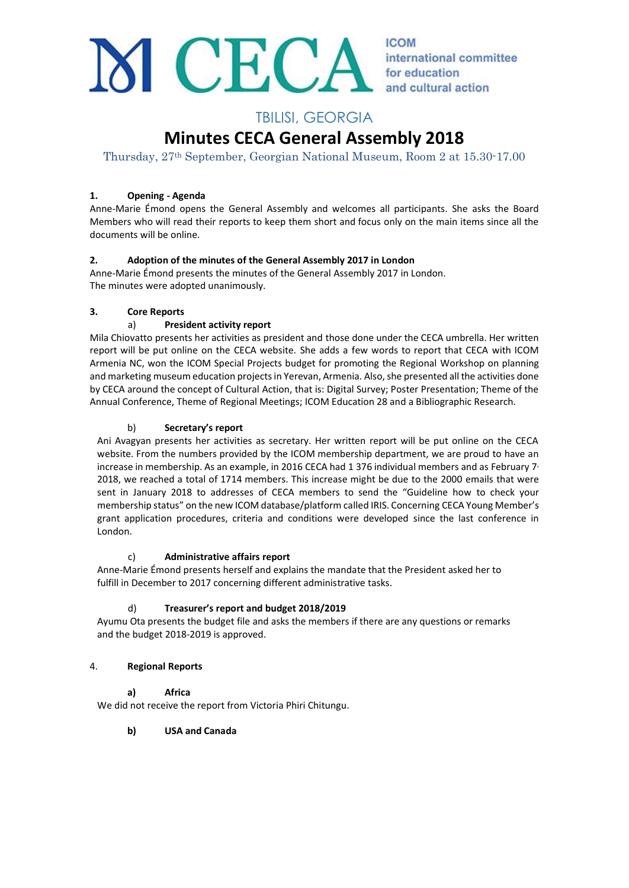

**ICOM** international committee for education and cultural action

# TBILISI, GEORGIA

# **Minutes CECA General Assembly 2018**

Thursday, 27th September, Georgian National Museum, Room 2 at 15.30-17.00

# **1. Opening - Agenda**

Anne-Marie Émond opens the General Assembly and welcomes all participants. She asks the Board Members who will read their reports to keep them short and focus only on the main items since all the documents will be online.

# **2. Adoption of the minutes of the General Assembly 2017 in London**

Anne-Marie Émond presents the minutes of the General Assembly 2017 in London. The minutes were adopted unanimously.

# **3. Core Reports**

# a) **President activity report**

Mila Chiovatto presents her activities as president and those done under the CECA umbrella. Her written report will be put online on the CECA website. She adds a few words to report that CECA with ICOM Armenia NC, won the ICOM Special Projects budget for promoting the Regional Workshop on planning and marketing museum education projects in Yerevan, Armenia. Also, she presented all the activities done by CECA around the concept of Cultural Action, that is: Digital Survey; Poster Presentation; Theme of the Annual Conference, Theme of Regional Meetings; ICOM Education 28 and a Bibliographic Research.

# b) **Secretary's report**

Ani Avagyan presents her activities as secretary. Her written report will be put online on the CECA website. From the numbers provided by the ICOM membership department, we are proud to have an increase in membership. As an example, in 2016 CECA had 1 376 individual members and as February  $7<sub>1</sub>$ 2018, we reached a total of 1714 members. This increase might be due to the 2000 emails that were sent in January 2018 to addresses of CECA members to send the "Guideline how to check your membership status" on the new ICOM database/platform called IRIS. Concerning CECA Young Member's grant application procedures, criteria and conditions were developed since the last conference in London.

# c) **Administrative affairs report**

Anne-Marie Émond presents herself and explains the mandate that the President asked her to fulfill in December to 2017 concerning different administrative tasks.

# d) **Treasurer's report and budget 2018/2019**

Ayumu Ota presents the budget file and asks the members if there are any questions or remarks and the budget 2018-2019 is approved.

# 4. **Regional Reports**

# **a) Africa**

We did not receive the report from Victoria Phiri Chitungu.

# **b) USA and Canada**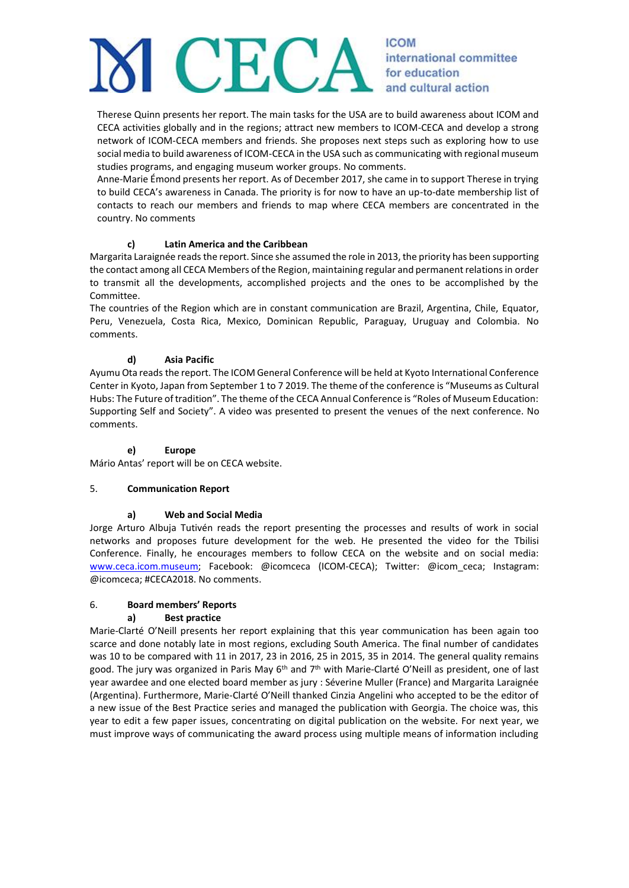# **ICOM**  $H$ international committee for education and cultural action

Therese Quinn presents her report. The main tasks for the USA are to build awareness about ICOM and CECA activities globally and in the regions; attract new members to ICOM-CECA and develop a strong network of ICOM-CECA members and friends. She proposes next steps such as exploring how to use social media to build awareness of ICOM-CECA in the USA such as communicating with regional museum studies programs, and engaging museum worker groups. No comments.

Anne-Marie Émond presents her report. As of December 2017, she came in to support Therese in trying to build CECA's awareness in Canada. The priority is for now to have an up-to-date membership list of contacts to reach our members and friends to map where CECA members are concentrated in the country. No comments

#### **c) Latin America and the Caribbean**

Margarita Laraignée reads the report. Since she assumed the role in 2013, the priority has been supporting the contact among all CECA Members of the Region, maintaining regular and permanent relations in order to transmit all the developments, accomplished projects and the ones to be accomplished by the Committee.

The countries of the Region which are in constant communication are Brazil, Argentina, Chile, Equator, Peru, Venezuela, Costa Rica, Mexico, Dominican Republic, Paraguay, Uruguay and Colombia. No comments.

# **d) Asia Pacific**

Ayumu Ota reads the report. The ICOM General Conference will be held at Kyoto International Conference Center in Kyoto, Japan from September 1 to 7 2019. The theme of the conference is "Museums as Cultural Hubs: The Future of tradition". The theme of the CECA Annual Conference is "Roles of Museum Education: Supporting Self and Society". A video was presented to present the venues of the next conference. No comments.

#### **e) Europe**

Mário Antas' report will be on CECA website.

#### 5. **Communication Report**

#### **a) Web and Social Media**

Jorge Arturo Albuja Tutivén reads the report presenting the processes and results of work in social networks and proposes future development for the web. He presented the video for the Tbilisi Conference. Finally, he encourages members to follow CECA on the website and on social media: [www.ceca.icom.museum;](http://www.ceca.icom.museum/) Facebook: @icomceca (ICOM-CECA); Twitter: @icom\_ceca; Instagram: @icomceca; #CECA2018. No comments.

#### 6. **Board members' Reports**

#### **a) Best practice**

Marie-Clarté O'Neill presents her report explaining that this year communication has been again too scarce and done notably late in most regions, excluding South America. The final number of candidates was 10 to be compared with 11 in 2017, 23 in 2016, 25 in 2015, 35 in 2014. The general quality remains good. The jury was organized in Paris May 6<sup>th</sup> and 7<sup>th</sup> with Marie-Clarté O'Neill as president, one of last year awardee and one elected board member as jury : Séverine Muller (France) and Margarita Laraignée (Argentina). Furthermore, Marie-Clarté O'Neill thanked Cinzia Angelini who accepted to be the editor of a new issue of the Best Practice series and managed the publication with Georgia. The choice was, this year to edit a few paper issues, concentrating on digital publication on the website. For next year, we must improve ways of communicating the award process using multiple means of information including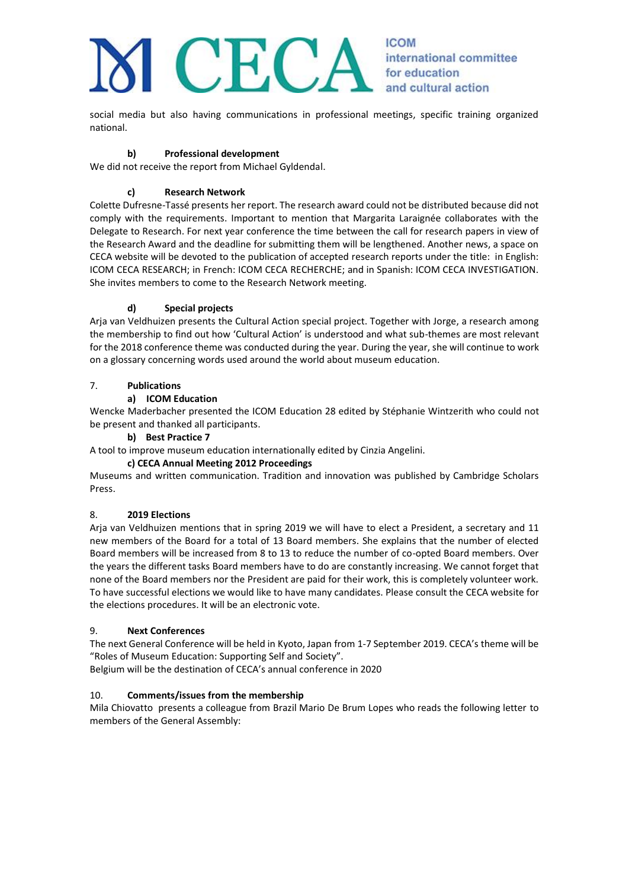# **ICOM** EC

international committee for education and cultural action

social media but also having communications in professional meetings, specific training organized national.

# **b) Professional development**

We did not receive the report from Michael Gyldendal.

# **c) Research Network**

Colette Dufresne-Tassé presents her report. The research award could not be distributed because did not comply with the requirements. Important to mention that Margarita Laraignée collaborates with the Delegate to Research. For next year conference the time between the call for research papers in view of the Research Award and the deadline for submitting them will be lengthened. Another news, a space on CECA website will be devoted to the publication of accepted research reports under the title: in English: ICOM CECA RESEARCH; in French: ICOM CECA RECHERCHE; and in Spanish: ICOM CECA INVESTIGATION. She invites members to come to the Research Network meeting.

# **d) Special projects**

Arja van Veldhuizen presents the Cultural Action special project. Together with Jorge, a research among the membership to find out how 'Cultural Action' is understood and what sub-themes are most relevant for the 2018 conference theme was conducted during the year. During the year, she will continue to work on a glossary concerning words used around the world about museum education.

# 7. **Publications**

# **a) ICOM Education**

Wencke Maderbacher presented the ICOM Education 28 edited by Stéphanie Wintzerith who could not be present and thanked all participants.

#### **b) Best Practice 7**

A tool to improve museum education internationally edited by Cinzia Angelini.

# **c) CECA Annual Meeting 2012 Proceedings**

Museums and written communication. Tradition and innovation was published by Cambridge Scholars Press.

# 8. **2019 Elections**

Arja van Veldhuizen mentions that in spring 2019 we will have to elect a President, a secretary and 11 new members of the Board for a total of 13 Board members. She explains that the number of elected Board members will be increased from 8 to 13 to reduce the number of co-opted Board members. Over the years the different tasks Board members have to do are constantly increasing. We cannot forget that none of the Board members nor the President are paid for their work, this is completely volunteer work. To have successful elections we would like to have many candidates. Please consult the CECA website for the elections procedures. It will be an electronic vote.

# 9. **Next Conferences**

The next General Conference will be held in Kyoto, Japan from 1-7 September 2019. CECA's theme will be "Roles of Museum Education: Supporting Self and Society".

Belgium will be the destination of CECA's annual conference in 2020

# 10. **Comments/issues from the membership**

Mila Chiovatto presents a colleague from Brazil Mario De Brum Lopes who reads the following letter to members of the General Assembly: